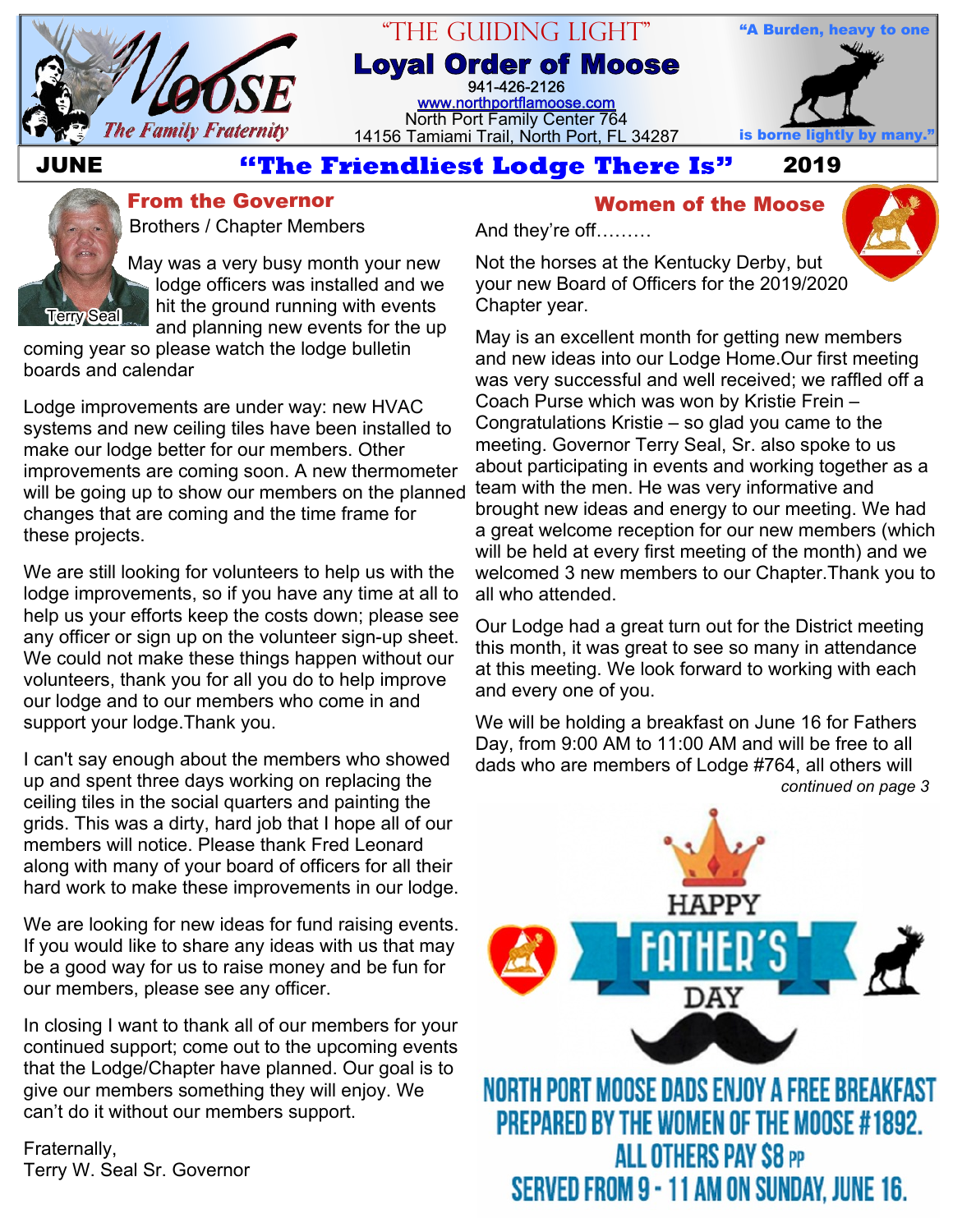

# "The Guiding Light"

**Loyal Order of Moose** 941-426-2126 [www.northportflamoose.com](http://www.northportflamoose.com) North Port Family Center 764 14156 Tamiami Trail, North Port, FL 34287 **is borne lightly by many."**



# **JUNE 4the Friendliest Lodge There Is"** 2019

And they're off………



**From the Governor Theory Communist Construction Communist Communist Communist Communist Communist Communist Communist Communist Communist Communist Communist Communist Communist Communist Communist Communist Communist Com** 

Brothers / Chapter Members

May was a very busy month your new lodge officers was installed and we hit the ground running with events and planning new events for the up

coming year so please watch the lodge bulletin boards and calendar

Lodge improvements are under way: new HVAC systems and new ceiling tiles have been installed to make our lodge better for our members. Other improvements are coming soon. A new thermometer will be going up to show our members on the planned changes that are coming and the time frame for these projects.

We are still looking for volunteers to help us with the lodge improvements, so if you have any time at all to help us your efforts keep the costs down; please see any officer or sign up on the volunteer sign-up sheet. We could not make these things happen without our volunteers, thank you for all you do to help improve our lodge and to our members who come in and support your lodge.Thank you.

I can't say enough about the members who showed up and spent three days working on replacing the ceiling tiles in the social quarters and painting the grids. This was a dirty, hard job that I hope all of our members will notice. Please thank Fred Leonard along with many of your board of officers for all their hard work to make these improvements in our lodge.

We are looking for new ideas for fund raising events. If you would like to share any ideas with us that may be a good way for us to raise money and be fun for our members, please see any officer.

In closing I want to thank all of our members for your continued support; come out to the upcoming events that the Lodge/Chapter have planned. Our goal is to give our members something they will enjoy. We can't do it without our members support.

Fraternally, Terry W. Seal Sr. Governor



Not the horses at the Kentucky Derby, but your new Board of Officers for the 2019/2020 Chapter year.

May is an excellent month for getting new members and new ideas into our Lodge Home.Our first meeting was very successful and well received; we raffled off a Coach Purse which was won by Kristie Frein – Congratulations Kristie – so glad you came to the meeting. Governor Terry Seal, Sr. also spoke to us about participating in events and working together as a team with the men. He was very informative and brought new ideas and energy to our meeting. We had a great welcome reception for our new members (which will be held at every first meeting of the month) and we welcomed 3 new members to our Chapter.Thank you to all who attended.

Our Lodge had a great turn out for the District meeting this month, it was great to see so many in attendance at this meeting. We look forward to working with each and every one of you.

We will be holding a breakfast on June 16 for Fathers Day, from 9:00 AM to 11:00 AM and will be free to all dads who are members of Lodge #764, all others will *continued on page 3*

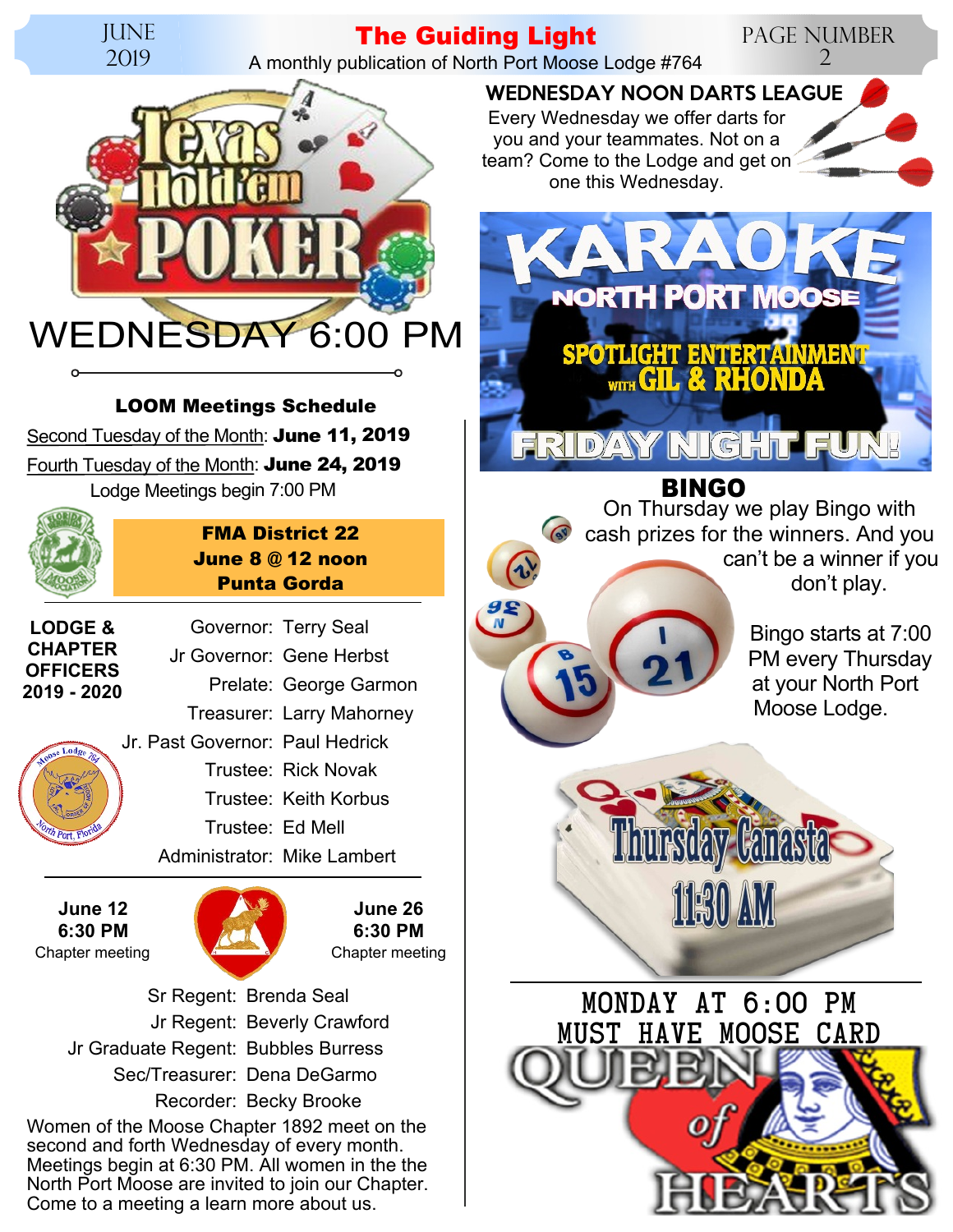

## **The Guiding Light**

A monthly publication of North Port Moose Lodge #764

 $\frac{95}{N}$ 



Second Tuesday of the Month: **June 11, 2019** Fourth Tuesday of the Month: **June 24, 2019** Lodge Meetings begin 7:00 PM **LOOM Meetings Schedule**



**FMA District 22 June 8 @ 12 noon Punta Gorda**

Governor: Terry Seal

**LODGE & CHAPTER OFFICERS 2019 - 2020**

Jr Governor: Gene Herbst Prelate: George Garmon Treasurer: Larry Mahorney Jr. Past Governor: Paul Hedrick Trustee: Rick Novak Trustee: Keith Korbus Trustee: Ed Mell Administrator: Mike Lambert

**June 12 6:30 PM**



**June 26 6:30 PM**

Women of the Moose Chapter 1892 meet on the second and forth Wednesday of every month. Meetings begin at 6:30 PM. All women in the the North Port Moose are invited to join our Chapter. Sr Regent: Brenda Seal Jr Regent: Beverly Crawford Jr Graduate Regent: Bubbles Burress Sec/Treasurer: Dena DeGarmo Recorder: Becky Brooke

Come to a meeting a learn more about us.

Page Number 2 WEDNESDAY NOON DARTS LEAGUE

Every Wednesday we offer darts for you and your teammates. Not on a team? Come to the Lodge and get on one this Wednesday.



### **DYANY KIK** GHII

**BINGO** On Thursday we play Bingo with cash prizes for the winners. And you can't be a winner if you don't play.

> Bingo starts at 7:00 PM every Thursday at your North Port Moose Lodge.



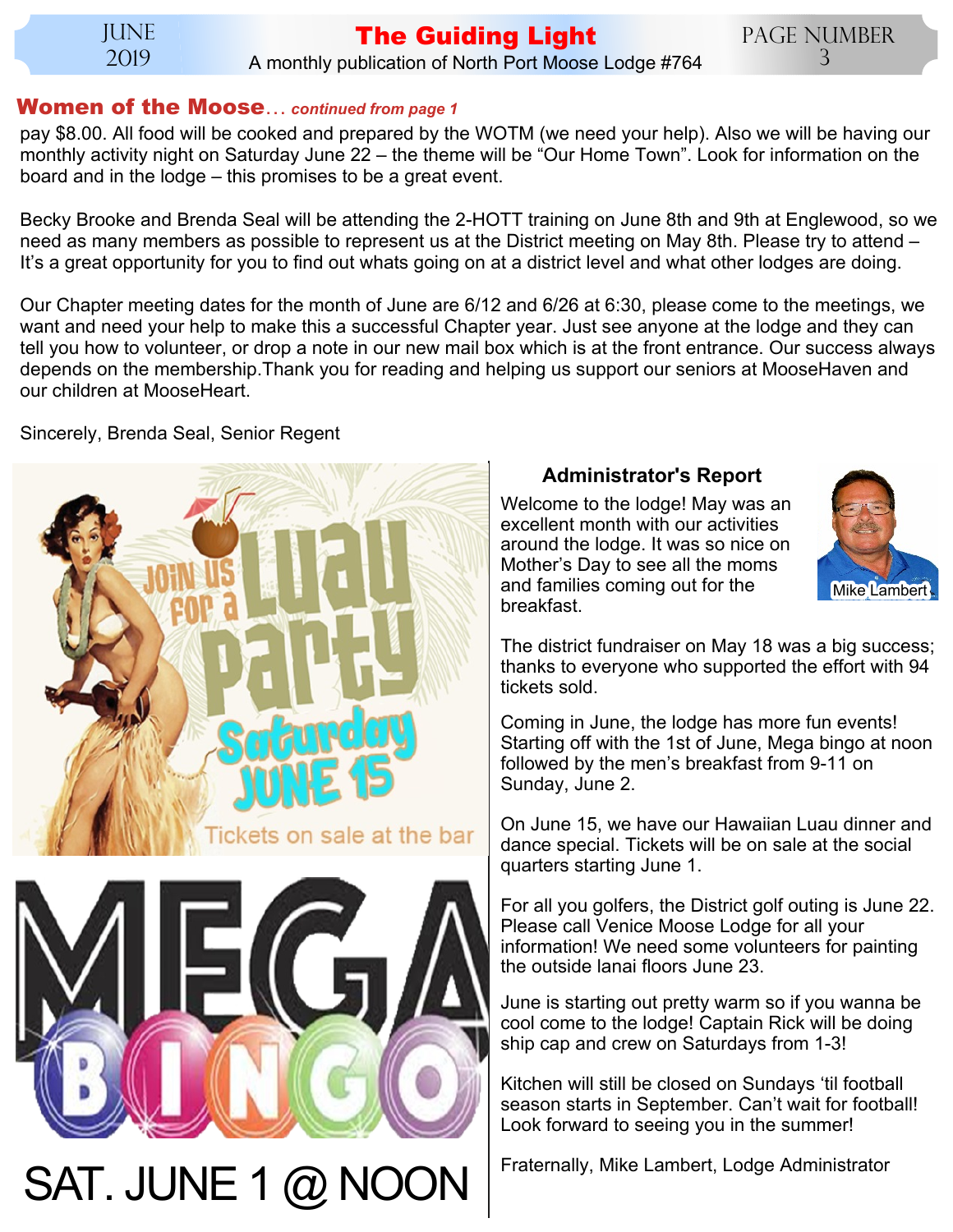**JUNE** 2019

# **The Guiding Light**

Page Number 3

### A monthly publication of North Port Moose Lodge #764

### **Women of the Moose**… *continued from page 1*

pay \$8.00. All food will be cooked and prepared by the WOTM (we need your help). Also we will be having our monthly activity night on Saturday June 22 – the theme will be "Our Home Town". Look for information on the board and in the lodge – this promises to be a great event.

Becky Brooke and Brenda Seal will be attending the 2-HOTT training on June 8th and 9th at Englewood, so we need as many members as possible to represent us at the District meeting on May 8th. Please try to attend – It's a great opportunity for you to find out whats going on at a district level and what other lodges are doing.

Our Chapter meeting dates for the month of June are 6/12 and 6/26 at 6:30, please come to the meetings, we want and need your help to make this a successful Chapter year. Just see anyone at the lodge and they can tell you how to volunteer, or drop a note in our new mail box which is at the front entrance. Our success always depends on the membership.Thank you for reading and helping us support our seniors at MooseHaven and our children at MooseHeart.

Sincerely, Brenda Seal, Senior Regent



 $SAT. JUNE 1 @ NOON$  Fraternally, Mike Lambert, Lodge Administrator

### **Administrator's Report**

Welcome to the lodge! May was an excellent month with our activities around the lodge. It was so nice on Mother's Day to see all the moms and families coming out for the breakfast.



The district fundraiser on May 18 was a big success; thanks to everyone who supported the effort with 94 tickets sold.

Coming in June, the lodge has more fun events! Starting off with the 1st of June, Mega bingo at noon followed by the men's breakfast from 9-11 on Sunday, June 2.

On June 15, we have our Hawaiian Luau dinner and dance special. Tickets will be on sale at the social quarters starting June 1.

For all you golfers, the District golf outing is June 22. Please call Venice Moose Lodge for all your information! We need some volunteers for painting the outside lanai floors June 23.

June is starting out pretty warm so if you wanna be cool come to the lodge! Captain Rick will be doing ship cap and crew on Saturdays from 1-3!

Kitchen will still be closed on Sundays 'til football season starts in September. Can't wait for football! Look forward to seeing you in the summer!